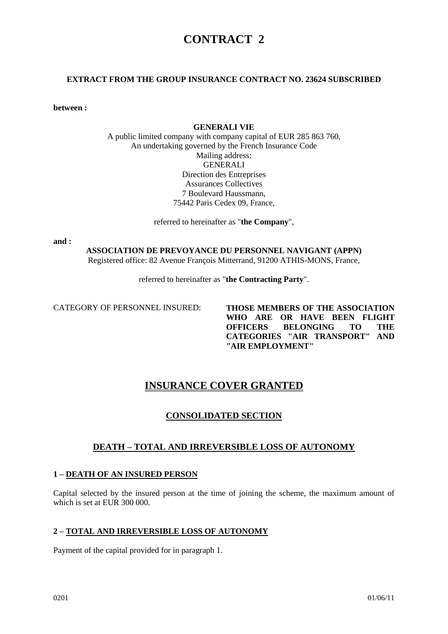# **CONTRACT 2**

#### **EXTRACT FROM THE GROUP INSURANCE CONTRACT NO. 23624 SUBSCRIBED**

**between :** 

#### **GENERALI VIE**

A public limited company with company capital of EUR 285 863 760, An undertaking governed by the French Insurance Code Mailing address: GENERALI Direction des Entreprises Assurances Collectives 7 Boulevard Haussmann, 75442 Paris Cedex 09, France,

referred to hereinafter as "**the Company**",

**and :** 

**ASSOCIATION DE PREVOYANCE DU PERSONNEL NAVIGANT (APPN)** Registered office: 82 Avenue François Mitterrand, 91200 ATHIS-MONS, France,

referred to hereinafter as "**the Contracting Party**".

CATEGORY OF PERSONNEL INSURED: **THOSE MEMBERS OF THE ASSOCIATION WHO ARE OR HAVE BEEN FLIGHT OFFICERS BELONGING TO THE CATEGORIES "AIR TRANSPORT" AND "AIR EMPLOYMENT"**

## **INSURANCE COVER GRANTED**

## **CONSOLIDATED SECTION**

## **DEATH – TOTAL AND IRREVERSIBLE LOSS OF AUTONOMY**

#### **1 – DEATH OF AN INSURED PERSON**

Capital selected by the insured person at the time of joining the scheme, the maximum amount of which is set at EUR 300 000.

#### **2 – TOTAL AND IRREVERSIBLE LOSS OF AUTONOMY**

Payment of the capital provided for in paragraph 1.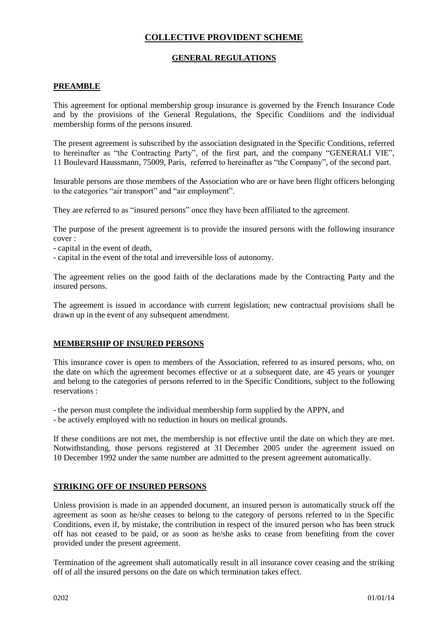## **COLLECTIVE PROVIDENT SCHEME**

## **GENERAL REGULATIONS**

#### **PREAMBLE**

This agreement for optional membership group insurance is governed by the French Insurance Code and by the provisions of the General Regulations, the Specific Conditions and the individual membership forms of the persons insured.

The present agreement is subscribed by the association designated in the Specific Conditions, referred to hereinafter as "the Contracting Party", of the first part, and the company "GENERALI VIE", 11 Boulevard Haussmann, 75009, Paris, referred to hereinafter as "the Company", of the second part.

Insurable persons are those members of the Association who are or have been flight officers belonging to the categories "air transport" and "air employment".

They are referred to as "insured persons" once they have been affiliated to the agreement.

The purpose of the present agreement is to provide the insured persons with the following insurance cover :

- capital in the event of death,
- capital in the event of the total and irreversible loss of autonomy.

The agreement relies on the good faith of the declarations made by the Contracting Party and the insured persons.

The agreement is issued in accordance with current legislation; new contractual provisions shall be drawn up in the event of any subsequent amendment.

#### **MEMBERSHIP OF INSURED PERSONS**

This insurance cover is open to members of the Association, referred to as insured persons, who, on the date on which the agreement becomes effective or at a subsequent date, are 45 years or younger and belong to the categories of persons referred to in the Specific Conditions, subject to the following reservations :

- the person must complete the individual membership form supplied by the APPN, and

- be actively employed with no reduction in hours on medical grounds.

If these conditions are not met, the membership is not effective until the date on which they are met. Notwithstanding, those persons registered at 31 December 2005 under the agreement issued on 10 December 1992 under the same number are admitted to the present agreement automatically.

#### **STRIKING OFF OF INSURED PERSONS**

Unless provision is made in an appended document, an insured person is automatically struck off the agreement as soon as he/she ceases to belong to the category of persons referred to in the Specific Conditions, even if, by mistake, the contribution in respect of the insured person who has been struck off has not ceased to be paid, or as soon as he/she asks to cease from benefiting from the cover provided under the present agreement.

Termination of the agreement shall automatically result in all insurance cover ceasing and the striking off of all the insured persons on the date on which termination takes effect.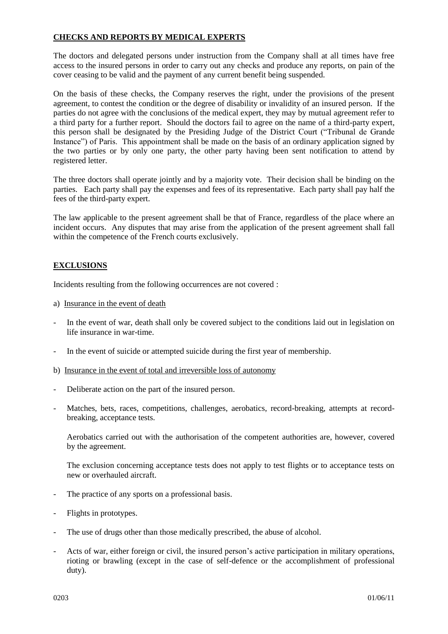## **CHECKS AND REPORTS BY MEDICAL EXPERTS**

The doctors and delegated persons under instruction from the Company shall at all times have free access to the insured persons in order to carry out any checks and produce any reports, on pain of the cover ceasing to be valid and the payment of any current benefit being suspended.

On the basis of these checks, the Company reserves the right, under the provisions of the present agreement, to contest the condition or the degree of disability or invalidity of an insured person. If the parties do not agree with the conclusions of the medical expert, they may by mutual agreement refer to a third party for a further report. Should the doctors fail to agree on the name of a third-party expert, this person shall be designated by the Presiding Judge of the District Court ("Tribunal de Grande Instance") of Paris. This appointment shall be made on the basis of an ordinary application signed by the two parties or by only one party, the other party having been sent notification to attend by registered letter.

The three doctors shall operate jointly and by a majority vote. Their decision shall be binding on the parties. Each party shall pay the expenses and fees of its representative. Each party shall pay half the fees of the third-party expert.

The law applicable to the present agreement shall be that of France, regardless of the place where an incident occurs. Any disputes that may arise from the application of the present agreement shall fall within the competence of the French courts exclusively.

#### **EXCLUSIONS**

Incidents resulting from the following occurrences are not covered :

- a) Insurance in the event of death
- In the event of war, death shall only be covered subject to the conditions laid out in legislation on life insurance in war-time.
- In the event of suicide or attempted suicide during the first year of membership.
- b) Insurance in the event of total and irreversible loss of autonomy
- Deliberate action on the part of the insured person.
- Matches, bets, races, competitions, challenges, aerobatics, record-breaking, attempts at recordbreaking, acceptance tests.

Aerobatics carried out with the authorisation of the competent authorities are, however, covered by the agreement.

The exclusion concerning acceptance tests does not apply to test flights or to acceptance tests on new or overhauled aircraft.

- The practice of any sports on a professional basis.
- Flights in prototypes.
- The use of drugs other than those medically prescribed, the abuse of alcohol.
- Acts of war, either foreign or civil, the insured person's active participation in military operations, rioting or brawling (except in the case of self-defence or the accomplishment of professional duty).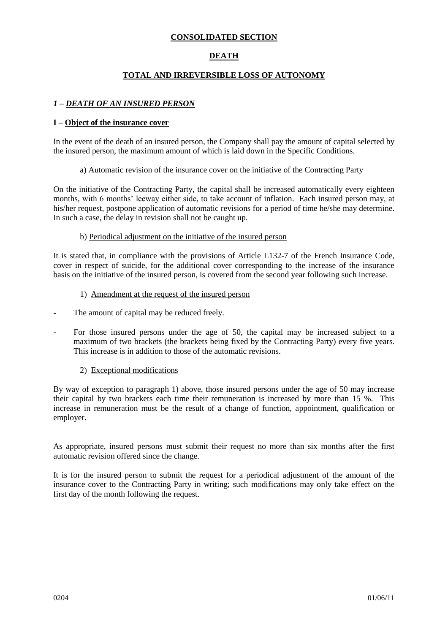### **CONSOLIDATED SECTION**

## **DEATH**

## **TOTAL AND IRREVERSIBLE LOSS OF AUTONOMY**

#### *1 – DEATH OF AN INSURED PERSON*

#### **I – Object of the insurance cover**

In the event of the death of an insured person, the Company shall pay the amount of capital selected by the insured person, the maximum amount of which is laid down in the Specific Conditions.

#### a) Automatic revision of the insurance cover on the initiative of the Contracting Party

On the initiative of the Contracting Party, the capital shall be increased automatically every eighteen months, with 6 months' leeway either side, to take account of inflation. Each insured person may, at his/her request, postpone application of automatic revisions for a period of time he/she may determine. In such a case, the delay in revision shall not be caught up.

#### b) Periodical adjustment on the initiative of the insured person

It is stated that, in compliance with the provisions of Article L132-7 of the French Insurance Code, cover in respect of suicide, for the additional cover corresponding to the increase of the insurance basis on the initiative of the insured person, is covered from the second year following such increase.

#### 1) Amendment at the request of the insured person

- The amount of capital may be reduced freely.
- For those insured persons under the age of 50, the capital may be increased subject to a maximum of two brackets (the brackets being fixed by the Contracting Party) every five years. This increase is in addition to those of the automatic revisions.

#### 2) Exceptional modifications

By way of exception to paragraph 1) above, those insured persons under the age of 50 may increase their capital by two brackets each time their remuneration is increased by more than 15 %. This increase in remuneration must be the result of a change of function, appointment, qualification or employer.

As appropriate, insured persons must submit their request no more than six months after the first automatic revision offered since the change.

It is for the insured person to submit the request for a periodical adjustment of the amount of the insurance cover to the Contracting Party in writing; such modifications may only take effect on the first day of the month following the request.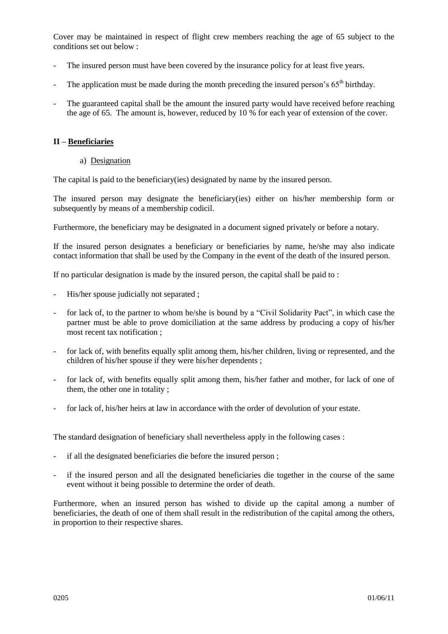Cover may be maintained in respect of flight crew members reaching the age of 65 subject to the conditions set out below :

- The insured person must have been covered by the insurance policy for at least five years.
- The application must be made during the month preceding the insured person's  $65<sup>th</sup>$  birthday.
- The guaranteed capital shall be the amount the insured party would have received before reaching the age of 65. The amount is, however, reduced by 10 % for each year of extension of the cover.

#### **II – Beneficiaries**

a) Designation

The capital is paid to the beneficiary(ies) designated by name by the insured person.

The insured person may designate the beneficiary(ies) either on his/her membership form or subsequently by means of a membership codicil.

Furthermore, the beneficiary may be designated in a document signed privately or before a notary.

If the insured person designates a beneficiary or beneficiaries by name, he/she may also indicate contact information that shall be used by the Company in the event of the death of the insured person.

If no particular designation is made by the insured person, the capital shall be paid to :

- His/her spouse judicially not separated;
- for lack of, to the partner to whom he/she is bound by a "Civil Solidarity Pact", in which case the partner must be able to prove domiciliation at the same address by producing a copy of his/her most recent tax notification ;
- for lack of, with benefits equally split among them, his/her children, living or represented, and the children of his/her spouse if they were his/her dependents ;
- for lack of, with benefits equally split among them, his/her father and mother, for lack of one of them, the other one in totality ;
- for lack of, his/her heirs at law in accordance with the order of devolution of your estate.

The standard designation of beneficiary shall nevertheless apply in the following cases :

- if all the designated beneficiaries die before the insured person;
- if the insured person and all the designated beneficiaries die together in the course of the same event without it being possible to determine the order of death.

Furthermore, when an insured person has wished to divide up the capital among a number of beneficiaries, the death of one of them shall result in the redistribution of the capital among the others, in proportion to their respective shares.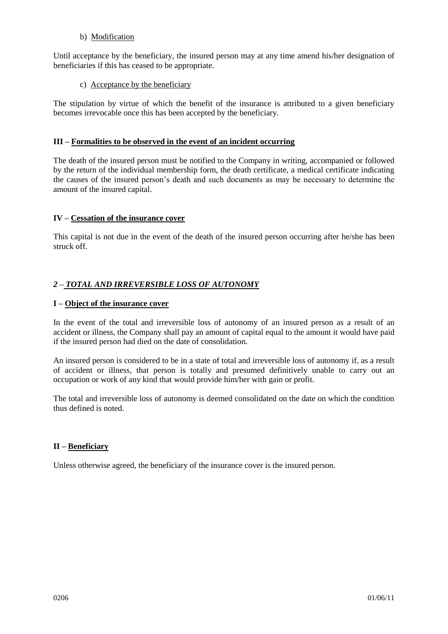#### b) Modification

Until acceptance by the beneficiary, the insured person may at any time amend his/her designation of beneficiaries if this has ceased to be appropriate.

#### c) Acceptance by the beneficiary

The stipulation by virtue of which the benefit of the insurance is attributed to a given beneficiary becomes irrevocable once this has been accepted by the beneficiary.

## **III – Formalities to be observed in the event of an incident occurring**

The death of the insured person must be notified to the Company in writing, accompanied or followed by the return of the individual membership form, the death certificate, a medical certificate indicating the causes of the insured person's death and such documents as may be necessary to determine the amount of the insured capital.

#### **IV – Cessation of the insurance cover**

This capital is not due in the event of the death of the insured person occurring after he/she has been struck off.

## *2 – TOTAL AND IRREVERSIBLE LOSS OF AUTONOMY*

#### **I – Object of the insurance cover**

In the event of the total and irreversible loss of autonomy of an insured person as a result of an accident or illness, the Company shall pay an amount of capital equal to the amount it would have paid if the insured person had died on the date of consolidation.

An insured person is considered to be in a state of total and irreversible loss of autonomy if, as a result of accident or illness, that person is totally and presumed definitively unable to carry out an occupation or work of any kind that would provide him/her with gain or profit.

The total and irreversible loss of autonomy is deemed consolidated on the date on which the condition thus defined is noted.

#### **II – Beneficiary**

Unless otherwise agreed, the beneficiary of the insurance cover is the insured person.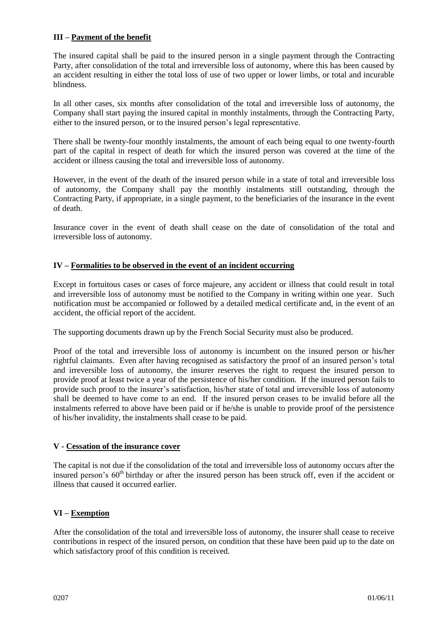#### **III – Payment of the benefit**

The insured capital shall be paid to the insured person in a single payment through the Contracting Party, after consolidation of the total and irreversible loss of autonomy, where this has been caused by an accident resulting in either the total loss of use of two upper or lower limbs, or total and incurable blindness.

In all other cases, six months after consolidation of the total and irreversible loss of autonomy, the Company shall start paying the insured capital in monthly instalments, through the Contracting Party, either to the insured person, or to the insured person's legal representative.

There shall be twenty-four monthly instalments, the amount of each being equal to one twenty-fourth part of the capital in respect of death for which the insured person was covered at the time of the accident or illness causing the total and irreversible loss of autonomy.

However, in the event of the death of the insured person while in a state of total and irreversible loss of autonomy, the Company shall pay the monthly instalments still outstanding, through the Contracting Party, if appropriate, in a single payment, to the beneficiaries of the insurance in the event of death.

Insurance cover in the event of death shall cease on the date of consolidation of the total and irreversible loss of autonomy.

#### **IV – Formalities to be observed in the event of an incident occurring**

Except in fortuitous cases or cases of force majeure, any accident or illness that could result in total and irreversible loss of autonomy must be notified to the Company in writing within one year. Such notification must be accompanied or followed by a detailed medical certificate and, in the event of an accident, the official report of the accident.

The supporting documents drawn up by the French Social Security must also be produced.

Proof of the total and irreversible loss of autonomy is incumbent on the insured person or his/her rightful claimants. Even after having recognised as satisfactory the proof of an insured person's total and irreversible loss of autonomy, the insurer reserves the right to request the insured person to provide proof at least twice a year of the persistence of his/her condition. If the insured person fails to provide such proof to the insurer's satisfaction, his/her state of total and irreversible loss of autonomy shall be deemed to have come to an end. If the insured person ceases to be invalid before all the instalments referred to above have been paid or if he/she is unable to provide proof of the persistence of his/her invalidity, the instalments shall cease to be paid.

#### **V - Cessation of the insurance cover**

The capital is not due if the consolidation of the total and irreversible loss of autonomy occurs after the insured person's  $60<sup>th</sup>$  birthday or after the insured person has been struck off, even if the accident or illness that caused it occurred earlier.

## **VI – Exemption**

After the consolidation of the total and irreversible loss of autonomy, the insurer shall cease to receive contributions in respect of the insured person, on condition that these have been paid up to the date on which satisfactory proof of this condition is received.